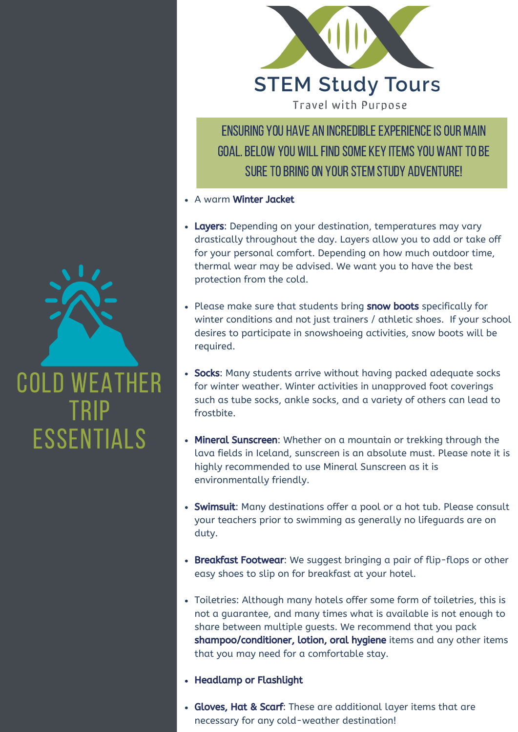

ENSURING YOU HAVE AN INCREDIBLE EXPERIENCE IS OUR MAIN GOAL. BELOW YOU WILL FIND SOME KEY ITEMS YOU WANT TO BE SURE TO BRING ON YOUR STEM STUDY ADVENTURE!

- A warm Winter Jacket
- Layers: Depending on your destination, temperatures may vary drastically throughout the day. Layers allow you to add or take off for your personal comfort. Depending on how much outdoor time, thermal wear may be advised. We want you to have the best protection from the cold.
- Please make sure that students bring snow boots specifically for winter conditions and not just trainers / athletic shoes. If your school desires to participate in snowshoeing activities, snow boots will be required.
- such as tube socks, ankle socks, and a variety of others can lead to • Socks: Many students arrive without having packed adequate socks for winter weather. Winter activities in unapproved foot coverings frostbite.
- Mineral Sunscreen: Whether on a mountain or trekking through the lava fields in Iceland, sunscreen is an absolute must. Please note it is highly recommended to use Mineral Sunscreen as it is environmentally friendly.
- Swimsuit: Many destinations offer a pool or a hot tub. Please consult your teachers prior to swimming as generally no lifeguards are on duty.
- Breakfast Footwear: We suggest bringing a pair of flip-flops or other easy shoes to slip on for breakfast at your hotel.
- Toiletries: Although many hotels offer some form of toiletries, this is not a guarantee, and many times what is available is not enough to share between multiple guests. We recommend that you pack shampoo/conditioner, lotion, oral hygiene items and any other items that you may need for a comfortable stay.
- Headlamp or Flashlight
- Gloves, Hat & Scarf: These are additional layer items that are necessary for any cold-weather destination!